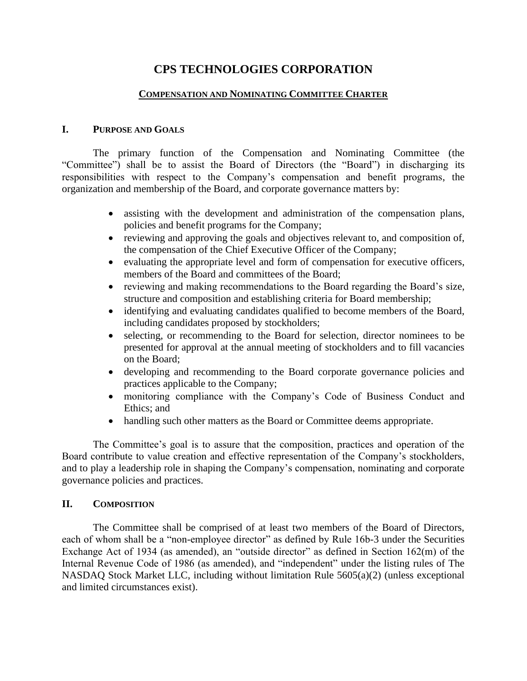# **CPS TECHNOLOGIES CORPORATION**

#### **COMPENSATION AND NOMINATING COMMITTEE CHARTER**

#### **I. PURPOSE AND GOALS**

The primary function of the Compensation and Nominating Committee (the "Committee") shall be to assist the Board of Directors (the "Board") in discharging its responsibilities with respect to the Company's compensation and benefit programs, the organization and membership of the Board, and corporate governance matters by:

- assisting with the development and administration of the compensation plans, policies and benefit programs for the Company;
- reviewing and approving the goals and objectives relevant to, and composition of, the compensation of the Chief Executive Officer of the Company;
- evaluating the appropriate level and form of compensation for executive officers, members of the Board and committees of the Board;
- reviewing and making recommendations to the Board regarding the Board's size, structure and composition and establishing criteria for Board membership;
- identifying and evaluating candidates qualified to become members of the Board, including candidates proposed by stockholders;
- selecting, or recommending to the Board for selection, director nominees to be presented for approval at the annual meeting of stockholders and to fill vacancies on the Board;
- developing and recommending to the Board corporate governance policies and practices applicable to the Company;
- monitoring compliance with the Company's Code of Business Conduct and Ethics; and
- handling such other matters as the Board or Committee deems appropriate.

The Committee's goal is to assure that the composition, practices and operation of the Board contribute to value creation and effective representation of the Company's stockholders, and to play a leadership role in shaping the Company's compensation, nominating and corporate governance policies and practices.

### **II. COMPOSITION**

The Committee shall be comprised of at least two members of the Board of Directors, each of whom shall be a "non-employee director" as defined by Rule 16b-3 under the Securities Exchange Act of 1934 (as amended), an "outside director" as defined in Section 162(m) of the Internal Revenue Code of 1986 (as amended), and "independent" under the listing rules of The NASDAQ Stock Market LLC, including without limitation Rule 5605(a)(2) (unless exceptional and limited circumstances exist).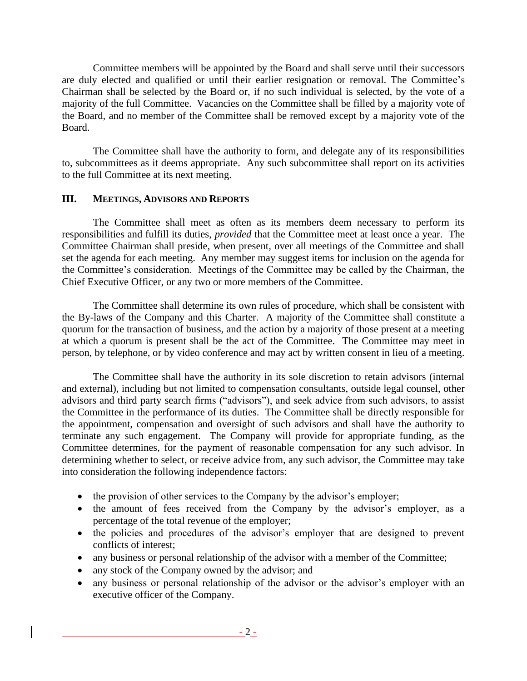Committee members will be appointed by the Board and shall serve until their successors are duly elected and qualified or until their earlier resignation or removal. The Committee's Chairman shall be selected by the Board or, if no such individual is selected, by the vote of a majority of the full Committee. Vacancies on the Committee shall be filled by a majority vote of the Board, and no member of the Committee shall be removed except by a majority vote of the Board.

The Committee shall have the authority to form, and delegate any of its responsibilities to, subcommittees as it deems appropriate. Any such subcommittee shall report on its activities to the full Committee at its next meeting.

### **III. MEETINGS, ADVISORS AND REPORTS**

The Committee shall meet as often as its members deem necessary to perform its responsibilities and fulfill its duties, *provided* that the Committee meet at least once a year. The Committee Chairman shall preside, when present, over all meetings of the Committee and shall set the agenda for each meeting. Any member may suggest items for inclusion on the agenda for the Committee's consideration. Meetings of the Committee may be called by the Chairman, the Chief Executive Officer, or any two or more members of the Committee.

The Committee shall determine its own rules of procedure, which shall be consistent with the By-laws of the Company and this Charter. A majority of the Committee shall constitute a quorum for the transaction of business, and the action by a majority of those present at a meeting at which a quorum is present shall be the act of the Committee. The Committee may meet in person, by telephone, or by video conference and may act by written consent in lieu of a meeting.

The Committee shall have the authority in its sole discretion to retain advisors (internal and external), including but not limited to compensation consultants, outside legal counsel, other advisors and third party search firms ("advisors"), and seek advice from such advisors, to assist the Committee in the performance of its duties. The Committee shall be directly responsible for the appointment, compensation and oversight of such advisors and shall have the authority to terminate any such engagement. The Company will provide for appropriate funding, as the Committee determines, for the payment of reasonable compensation for any such advisor. In determining whether to select, or receive advice from, any such advisor, the Committee may take into consideration the following independence factors:

- the provision of other services to the Company by the advisor's employer;
- the amount of fees received from the Company by the advisor's employer, as a percentage of the total revenue of the employer;
- the policies and procedures of the advisor's employer that are designed to prevent conflicts of interest;
- any business or personal relationship of the advisor with a member of the Committee;
- any stock of the Company owned by the advisor; and
- any business or personal relationship of the advisor or the advisor's employer with an executive officer of the Company.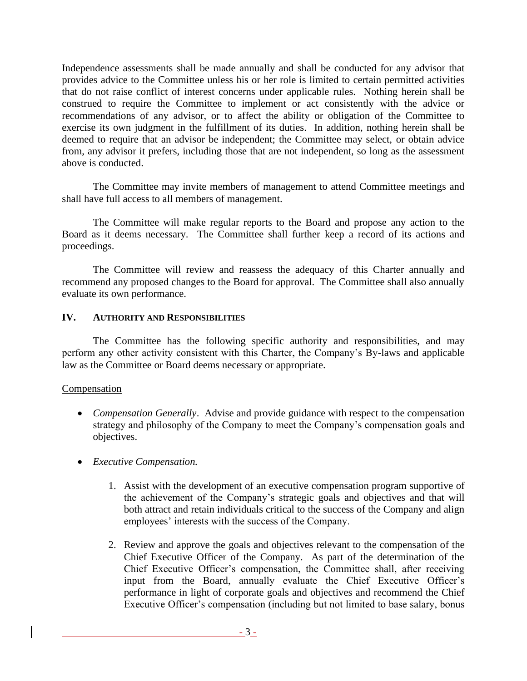Independence assessments shall be made annually and shall be conducted for any advisor that provides advice to the Committee unless his or her role is limited to certain permitted activities that do not raise conflict of interest concerns under applicable rules. Nothing herein shall be construed to require the Committee to implement or act consistently with the advice or recommendations of any advisor, or to affect the ability or obligation of the Committee to exercise its own judgment in the fulfillment of its duties. In addition, nothing herein shall be deemed to require that an advisor be independent; the Committee may select, or obtain advice from, any advisor it prefers, including those that are not independent, so long as the assessment above is conducted.

The Committee may invite members of management to attend Committee meetings and shall have full access to all members of management.

The Committee will make regular reports to the Board and propose any action to the Board as it deems necessary. The Committee shall further keep a record of its actions and proceedings.

The Committee will review and reassess the adequacy of this Charter annually and recommend any proposed changes to the Board for approval. The Committee shall also annually evaluate its own performance.

### **IV. AUTHORITY AND RESPONSIBILITIES**

The Committee has the following specific authority and responsibilities, and may perform any other activity consistent with this Charter, the Company's By-laws and applicable law as the Committee or Board deems necessary or appropriate.

### Compensation

- *Compensation Generally.* Advise and provide guidance with respect to the compensation strategy and philosophy of the Company to meet the Company's compensation goals and objectives.
- *Executive Compensation.*
	- 1. Assist with the development of an executive compensation program supportive of the achievement of the Company's strategic goals and objectives and that will both attract and retain individuals critical to the success of the Company and align employees' interests with the success of the Company.
	- 2. Review and approve the goals and objectives relevant to the compensation of the Chief Executive Officer of the Company. As part of the determination of the Chief Executive Officer's compensation, the Committee shall, after receiving input from the Board, annually evaluate the Chief Executive Officer's performance in light of corporate goals and objectives and recommend the Chief Executive Officer's compensation (including but not limited to base salary, bonus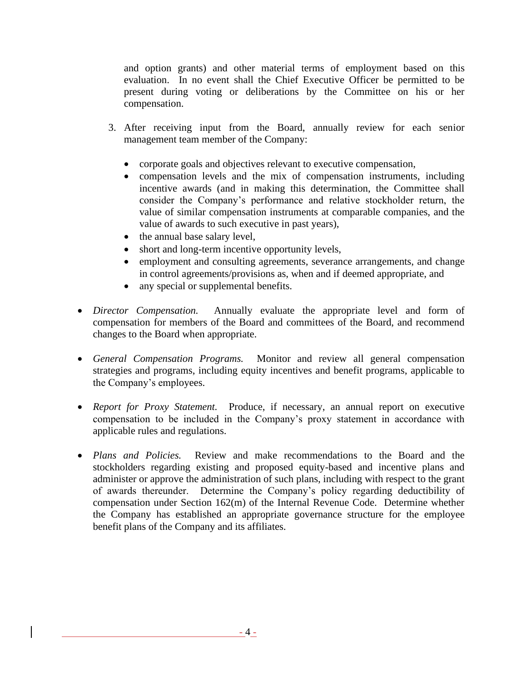and option grants) and other material terms of employment based on this evaluation. In no event shall the Chief Executive Officer be permitted to be present during voting or deliberations by the Committee on his or her compensation.

- 3. After receiving input from the Board, annually review for each senior management team member of the Company:
	- corporate goals and objectives relevant to executive compensation,
	- compensation levels and the mix of compensation instruments, including incentive awards (and in making this determination, the Committee shall consider the Company's performance and relative stockholder return, the value of similar compensation instruments at comparable companies, and the value of awards to such executive in past years),
	- the annual base salary level,
	- short and long-term incentive opportunity levels,
	- employment and consulting agreements, severance arrangements, and change in control agreements/provisions as, when and if deemed appropriate, and
	- any special or supplemental benefits.
- *Director Compensation.* Annually evaluate the appropriate level and form of compensation for members of the Board and committees of the Board, and recommend changes to the Board when appropriate.
- *General Compensation Programs.* Monitor and review all general compensation strategies and programs, including equity incentives and benefit programs, applicable to the Company's employees.
- *Report for Proxy Statement.* Produce, if necessary, an annual report on executive compensation to be included in the Company's proxy statement in accordance with applicable rules and regulations.
- *Plans and Policies.* Review and make recommendations to the Board and the stockholders regarding existing and proposed equity-based and incentive plans and administer or approve the administration of such plans, including with respect to the grant of awards thereunder. Determine the Company's policy regarding deductibility of compensation under Section 162(m) of the Internal Revenue Code. Determine whether the Company has established an appropriate governance structure for the employee benefit plans of the Company and its affiliates.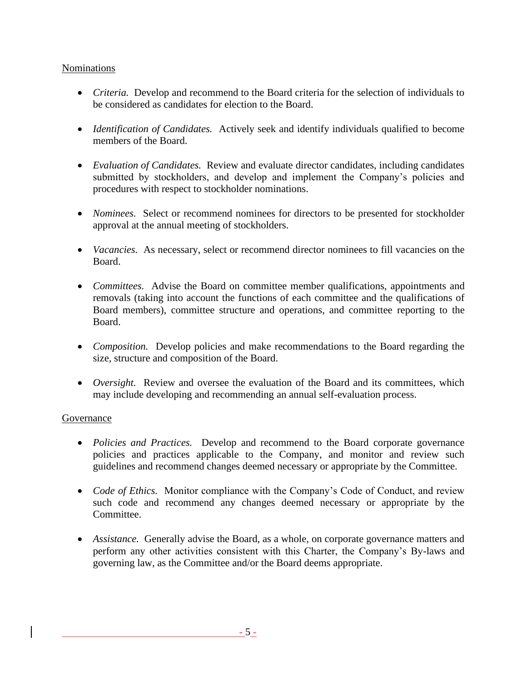### Nominations

- *Criteria.* Develop and recommend to the Board criteria for the selection of individuals to be considered as candidates for election to the Board.
- *Identification of Candidates.* Actively seek and identify individuals qualified to become members of the Board.
- *Evaluation of Candidates.* Review and evaluate director candidates, including candidates submitted by stockholders, and develop and implement the Company's policies and procedures with respect to stockholder nominations.
- *Nominees.* Select or recommend nominees for directors to be presented for stockholder approval at the annual meeting of stockholders.
- *Vacancies.* As necessary, select or recommend director nominees to fill vacancies on the Board.
- *Committees.* Advise the Board on committee member qualifications, appointments and removals (taking into account the functions of each committee and the qualifications of Board members), committee structure and operations, and committee reporting to the Board.
- *Composition.* Develop policies and make recommendations to the Board regarding the size, structure and composition of the Board.
- *Oversight.* Review and oversee the evaluation of the Board and its committees, which may include developing and recommending an annual self-evaluation process.

### Governance

- *Policies and Practices.* Develop and recommend to the Board corporate governance policies and practices applicable to the Company, and monitor and review such guidelines and recommend changes deemed necessary or appropriate by the Committee.
- *Code of Ethics.* Monitor compliance with the Company's Code of Conduct, and review such code and recommend any changes deemed necessary or appropriate by the Committee.
- *Assistance.* Generally advise the Board, as a whole, on corporate governance matters and perform any other activities consistent with this Charter, the Company's By-laws and governing law, as the Committee and/or the Board deems appropriate.